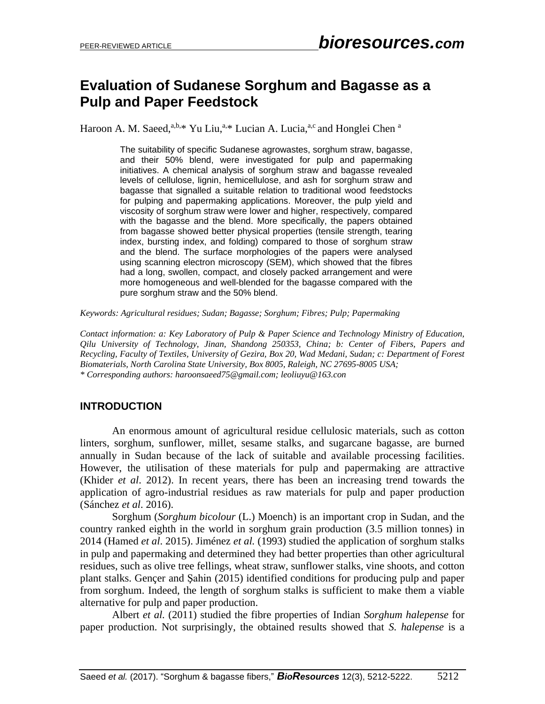# **Evaluation of Sudanese Sorghum and Bagasse as a Pulp and Paper Feedstock**

Haroon A. M. Saeed,<sup>a,b,\*</sup> Yu Liu,<sup>a,\*</sup> Lucian A. Lucia,<sup>a,c</sup> and Honglei Chen <sup>a</sup>

The suitability of specific Sudanese agrowastes, sorghum straw, bagasse, and their 50% blend, were investigated for pulp and papermaking initiatives. A chemical analysis of sorghum straw and bagasse revealed levels of cellulose, lignin, hemicellulose, and ash for sorghum straw and bagasse that signalled a suitable relation to traditional wood feedstocks for pulping and papermaking applications. Moreover, the pulp yield and viscosity of sorghum straw were lower and higher, respectively, compared with the bagasse and the blend. More specifically, the papers obtained from bagasse showed better physical properties (tensile strength, tearing index, bursting index, and folding) compared to those of sorghum straw and the blend. The surface morphologies of the papers were analysed using scanning electron microscopy (SEM), which showed that the fibres had a long, swollen, compact, and closely packed arrangement and were more homogeneous and well-blended for the bagasse compared with the pure sorghum straw and the 50% blend.

*Keywords: Agricultural residues; Sudan; Bagasse; Sorghum; Fibres; Pulp; Papermaking*

*Contact information: a: Key Laboratory of Pulp & Paper Science and Technology Ministry of Education, Qilu University of Technology, Jinan, Shandong 250353, China; b: Center of Fibers, Papers and Recycling, Faculty of Textiles, University of Gezira, Box 20, Wad Medani, Sudan; c: Department of Forest Biomaterials, North Carolina State University, Box 8005, Raleigh, NC 27695-8005 USA; \* Corresponding authors: haroonsaeed75@gmail.com; leoliuyu@163.con*

### **INTRODUCTION**

An enormous amount of agricultural residue cellulosic materials, such as cotton linters, sorghum, sunflower, millet, sesame stalks, and sugarcane bagasse, are burned annually in Sudan because of the lack of suitable and available processing facilities. However, the utilisation of these materials for pulp and papermaking are attractive (Khider *et al*. 2012). In recent years, there has been an increasing trend towards the application of agro-industrial residues as raw materials for pulp and paper production (Sánchez *et al*. 2016).

Sorghum (*Sorghum bicolour* (L.) Moench) is an important crop in Sudan, and the country ranked eighth in the world in sorghum grain production (3.5 million tonnes) in 2014 (Hamed *et al*. 2015). Jiménez *et al.* (1993) studied the application of sorghum stalks in pulp and papermaking and determined they had better properties than other agricultural residues, such as olive tree fellings, wheat straw, sunflower stalks, vine shoots, and cotton plant stalks. Gençer and Şahin (2015) identified conditions for producing pulp and paper from sorghum. Indeed, the length of sorghum stalks is sufficient to make them a viable alternative for pulp and paper production.

Albert *et al.* (2011) studied the fibre properties of Indian *Sorghum halepense* for paper production. Not surprisingly, the obtained results showed that *S. halepense* is a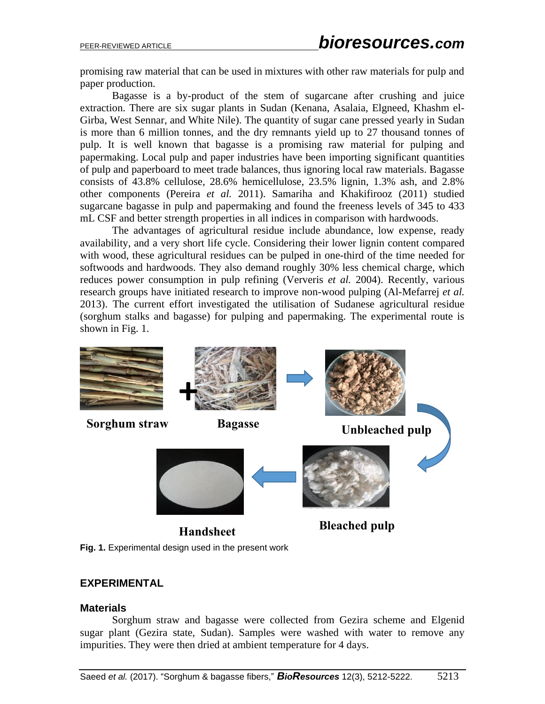promising raw material that can be used in mixtures with other raw materials for pulp and paper production.

Bagasse is a by-product of the stem of sugarcane after crushing and juice extraction. There are six sugar plants in Sudan (Kenana, Asalaia, Elgneed, Khashm el-Girba, West Sennar, and White Nile). The quantity of sugar cane pressed yearly in Sudan is more than 6 million tonnes, and the dry remnants yield up to 27 thousand tonnes of pulp. It is well known that bagasse is a promising raw material for pulping and papermaking. Local pulp and paper industries have been importing significant quantities of pulp and paperboard to meet trade balances, thus ignoring local raw materials. Bagasse consists of 43.8% cellulose, 28.6% hemicellulose, 23.5% lignin, 1.3% ash, and 2.8% other components (Pereira *et al.* 2011). Samariha and Khakifirooz (2011) studied sugarcane bagasse in pulp and papermaking and found the freeness levels of 345 to 433 mL CSF and better strength properties in all indices in comparison with hardwoods.

The advantages of agricultural residue include abundance, low expense, ready availability, and a very short life cycle. Considering their lower lignin content compared with wood, these agricultural residues can be pulped in one-third of the time needed for softwoods and hardwoods. They also demand roughly 30% less chemical charge, which reduces power consumption in pulp refining (Ververis *et al.* 2004). Recently, various research groups have initiated research to improve non-wood pulping (Al-Mefarrej *et al.* 2013). The current effort investigated the utilisation of Sudanese agricultural residue (sorghum stalks and bagasse) for pulping and papermaking. The experimental route is shown in Fig. 1.



### **EXPERIMENTAL**

#### **Materials**

Sorghum straw and bagasse were collected from Gezira scheme and Elgenid sugar plant (Gezira state, Sudan). Samples were washed with water to remove any impurities. They were then dried at ambient temperature for 4 days.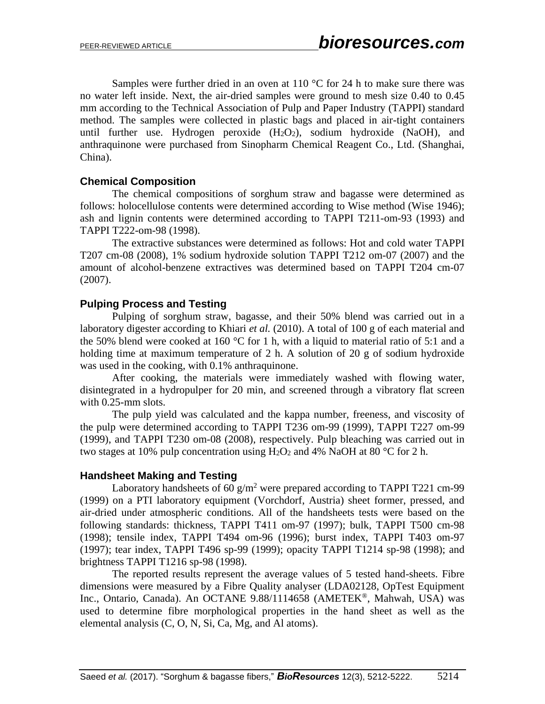Samples were further dried in an oven at 110  $\degree$ C for 24 h to make sure there was no water left inside. Next, the air-dried samples were ground to mesh size 0.40 to 0.45 mm according to the Technical Association of Pulp and Paper Industry (TAPPI) standard method. The samples were collected in plastic bags and placed in air-tight containers until further use. Hydrogen peroxide  $(H_2O_2)$ , sodium hydroxide  $(NaOH)$ , and anthraquinone were purchased from Sinopharm Chemical Reagent Co., Ltd. (Shanghai, China).

## **Chemical Composition**

The chemical compositions of sorghum straw and bagasse were determined as follows: holocellulose contents were determined according to Wise method (Wise 1946); ash and lignin contents were determined according to TAPPI T211-om-93 (1993) and TAPPI T222-om-98 (1998).

The extractive substances were determined as follows: Hot and cold water TAPPI T207 cm-08 (2008), 1% sodium hydroxide solution TAPPI T212 om-07 (2007) and the amount of alcohol-benzene extractives was determined based on TAPPI T204 cm-07 (2007).

## **Pulping Process and Testing**

Pulping of sorghum straw, bagasse, and their 50% blend was carried out in a laboratory digester according to Khiari *et al.* (2010). A total of 100 g of each material and the 50% blend were cooked at 160  $\degree$ C for 1 h, with a liquid to material ratio of 5:1 and a holding time at maximum temperature of 2 h. A solution of 20 g of sodium hydroxide was used in the cooking, with 0.1% anthraquinone.

After cooking, the materials were immediately washed with flowing water, disintegrated in a hydropulper for 20 min, and screened through a vibratory flat screen with 0.25-mm slots.

The pulp yield was calculated and the kappa number, freeness, and viscosity of the pulp were determined according to TAPPI T236 om-99 (1999), TAPPI T227 om-99 (1999), and TAPPI T230 om-08 (2008), respectively. Pulp bleaching was carried out in two stages at 10% pulp concentration using  $H_2O_2$  and 4% NaOH at 80 °C for 2 h.

### **Handsheet Making and Testing**

Laboratory handsheets of 60  $g/m^2$  were prepared according to TAPPI T221 cm-99 (1999) on a PTI laboratory equipment (Vorchdorf, Austria) sheet former, pressed, and air-dried under atmospheric conditions. All of the handsheets tests were based on the following standards: thickness, TAPPI T411 om-97 (1997); bulk, TAPPI T500 cm-98 (1998); tensile index, TAPPI T494 om-96 (1996); burst index, TAPPI T403 om-97 (1997); tear index, TAPPI T496 sp-99 (1999); opacity TAPPI T1214 sp-98 (1998); and brightness TAPPI T1216 sp-98 (1998).

The reported results represent the average values of 5 tested hand-sheets. Fibre dimensions were measured by a Fibre Quality analyser (LDA02128, OpTest Equipment Inc., Ontario, Canada). An OCTANE 9.88/1114658 (AMETEK®, Mahwah, USA) was used to determine fibre morphological properties in the hand sheet as well as the elemental analysis (C, O, N, Si, Ca, Mg, and Al atoms).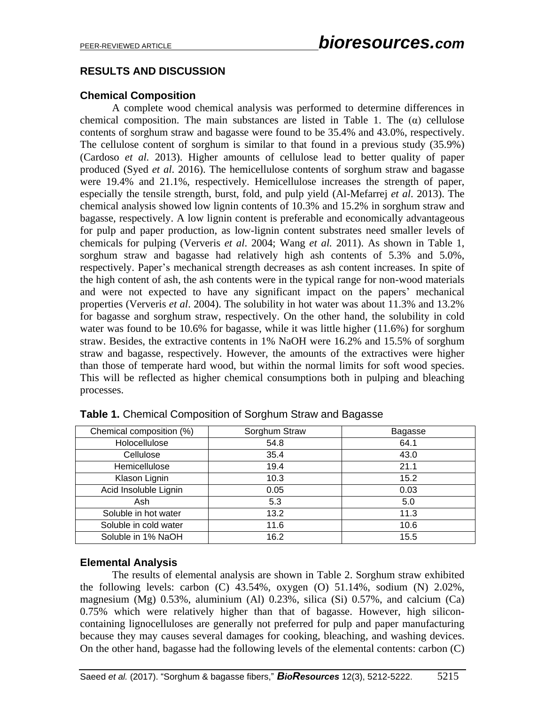## **RESULTS AND DISCUSSION**

## **Chemical Composition**

A complete wood chemical analysis was performed to determine differences in chemical composition. The main substances are listed in Table 1. The  $(\alpha)$  cellulose contents of sorghum straw and bagasse were found to be 35.4% and 43.0%, respectively. The cellulose content of sorghum is similar to that found in a previous study (35.9%) (Cardoso *et al.* 2013). Higher amounts of cellulose lead to better quality of paper produced (Syed *et al*. 2016). The hemicellulose contents of sorghum straw and bagasse were 19.4% and 21.1%, respectively. Hemicellulose increases the strength of paper, especially the tensile strength, burst, fold, and pulp yield (Al-Mefarrej *et al*. 2013). The chemical analysis showed low lignin contents of 10.3% and 15.2% in sorghum straw and bagasse, respectively. A low lignin content is preferable and economically advantageous for pulp and paper production, as low-lignin content substrates need smaller levels of chemicals for pulping (Ververis *et al*. 2004; Wang *et al.* 2011). As shown in Table 1, sorghum straw and bagasse had relatively high ash contents of 5.3% and 5.0%, respectively. Paper's mechanical strength decreases as ash content increases. In spite of the high content of ash, the ash contents were in the typical range for non-wood materials and were not expected to have any significant impact on the papers' mechanical properties (Ververis *et al*. 2004). The solubility in hot water was about 11.3% and 13.2% for bagasse and sorghum straw, respectively. On the other hand, the solubility in cold water was found to be 10.6% for bagasse, while it was little higher (11.6%) for sorghum straw. Besides, the extractive contents in 1% NaOH were 16.2% and 15.5% of sorghum straw and bagasse, respectively. However, the amounts of the extractives were higher than those of temperate hard wood, but within the normal limits for soft wood species. This will be reflected as higher chemical consumptions both in pulping and bleaching processes.

| Chemical composition (%) | Sorghum Straw | <b>Bagasse</b> |  |
|--------------------------|---------------|----------------|--|
| Holocellulose            | 54.8          | 64.1           |  |
| Cellulose                | 35.4          | 43.0           |  |
| Hemicellulose            | 19.4          | 21.1           |  |
| Klason Lignin            | 10.3          | 15.2           |  |
| Acid Insoluble Lignin    | 0.05          | 0.03           |  |
| Ash                      | 5.3           | 5.0            |  |
| Soluble in hot water     | 13.2          | 11.3           |  |
| Soluble in cold water    | 11.6          | 10.6           |  |
| Soluble in 1% NaOH       | 16.2          | 15.5           |  |

**Table 1.** Chemical Composition of Sorghum Straw and Bagasse

#### **Elemental Analysis**

The results of elemental analysis are shown in Table 2. Sorghum straw exhibited the following levels: carbon  $(C)$  43.54%, oxygen  $(O)$  51.14%, sodium  $(N)$  2.02%, magnesium (Mg) 0.53%, aluminium (Al) 0.23%, silica (Si) 0.57%, and calcium (Ca) 0.75% which were relatively higher than that of bagasse. However, high siliconcontaining lignocelluloses are generally not preferred for pulp and paper manufacturing because they may causes several damages for cooking, bleaching, and washing devices. On the other hand, bagasse had the following levels of the elemental contents: carbon (C)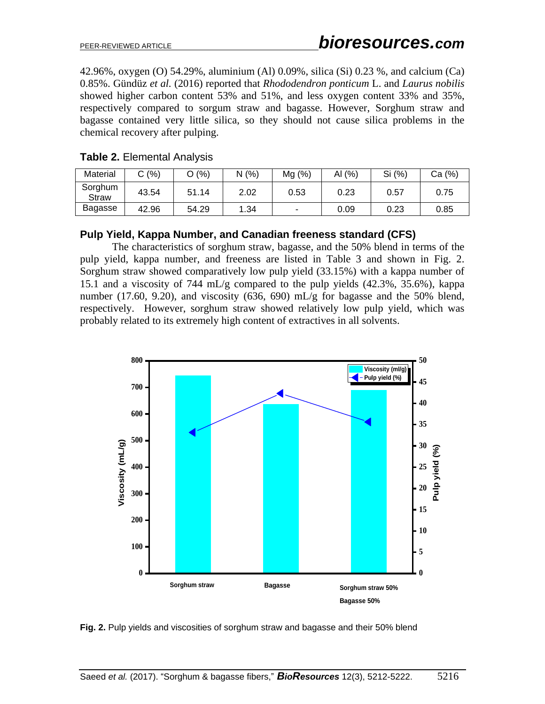42.96%, oxygen (O) 54.29%, aluminium (Al) 0.09%, silica (Si) 0.23 %, and calcium (Ca) 0.85%. Gündüz *et al.* (2016) reported that *Rhododendron ponticum* L. and *Laurus nobilis* showed higher carbon content 53% and 51%, and less oxygen content 33% and 35%, respectively compared to sorgum straw and bagasse. However, Sorghum straw and bagasse contained very little silica, so they should not cause silica problems in the chemical recovery after pulping.

| Material                | C(%)  | O (%) | N(%  | Mg(%) | AI $(%)$ | Si (%) | Ca (%) |
|-------------------------|-------|-------|------|-------|----------|--------|--------|
| Sorghum<br><b>Straw</b> | 43.54 | 51.14 | 2.02 | 0.53  | 0.23     | 0.57   | 0.75   |
| Bagasse                 | 42.96 | 54.29 | 1.34 |       | 0.09     | 0.23   | 0.85   |

## **Table 2.** Elemental Analysis

#### **Pulp Yield, Kappa Number, and Canadian freeness standard (CFS)**

The characteristics of sorghum straw, bagasse, and the 50% blend in terms of the pulp yield, kappa number, and freeness are listed in Table 3 and shown in Fig. 2. Sorghum straw showed comparatively low pulp yield (33.15%) with a kappa number of 15.1 and a viscosity of 744 mL/g compared to the pulp yields (42.3%, 35.6%), kappa number (17.60, 9.20), and viscosity (636, 690) mL/g for bagasse and the 50% blend, respectively. However, sorghum straw showed relatively low pulp yield, which was probably related to its extremely high content of extractives in all solvents.



**Fig. 2.** Pulp yields and viscosities of sorghum straw and bagasse and their 50% blend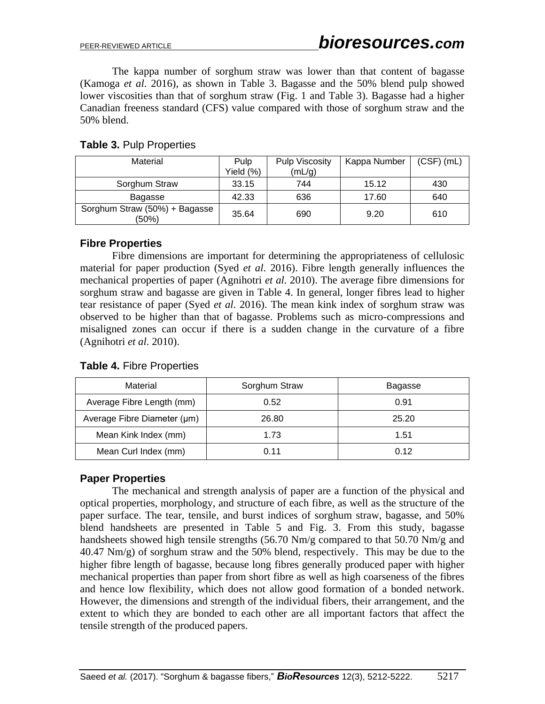The kappa number of sorghum straw was lower than that content of bagasse (Kamoga *et al*. 2016), as shown in Table 3. Bagasse and the 50% blend pulp showed lower viscosities than that of sorghum straw (Fig. 1 and Table 3). Bagasse had a higher Canadian freeness standard (CFS) value compared with those of sorghum straw and the 50% blend.

| Material                               | Pulp      | <b>Pulp Viscosity</b> | Kappa Number | $(CSF)$ (mL) |
|----------------------------------------|-----------|-----------------------|--------------|--------------|
|                                        | Yield (%) | (mL/g)                |              |              |
| Sorghum Straw                          | 33.15     | 744                   | 15.12        | 430          |
| Bagasse                                | 42.33     | 636                   | 17.60        | 640          |
| Sorghum Straw (50%) + Bagasse<br>(50%) | 35.64     | 690                   | 9.20         | 610          |

## **Table 3.** Pulp Properties

#### **Fibre Properties**

Fibre dimensions are important for determining the appropriateness of cellulosic material for paper production (Syed *et al*. 2016). Fibre length generally influences the mechanical properties of paper (Agnihotri *et al*. 2010). The average fibre dimensions for sorghum straw and bagasse are given in Table 4. In general, longer fibres lead to higher tear resistance of paper (Syed *et al*. 2016). The mean kink index of sorghum straw was observed to be higher than that of bagasse. Problems such as micro-compressions and misaligned zones can occur if there is a sudden change in the curvature of a fibre (Agnihotri *et al*. 2010).

| Material                    | Sorghum Straw | Bagasse |
|-----------------------------|---------------|---------|
| Average Fibre Length (mm)   | 0.52          | 0.91    |
| Average Fibre Diameter (µm) | 26.80         | 25.20   |
| Mean Kink Index (mm)        | 1.73          | 1.51    |
| Mean Curl Index (mm)        | 0.11          | 0.12    |

### **Table 4.** Fibre Properties

### **Paper Properties**

The mechanical and strength analysis of paper are a function of the physical and optical properties, morphology, and structure of each fibre, as well as the structure of the paper surface. The tear, tensile, and burst indices of sorghum straw, bagasse, and 50% blend handsheets are presented in Table 5 and Fig. 3. From this study, bagasse handsheets showed high tensile strengths (56.70 Nm/g compared to that 50.70 Nm/g and 40.47 Nm/g) of sorghum straw and the 50% blend, respectively. This may be due to the higher fibre length of bagasse, because long fibres generally produced paper with higher mechanical properties than paper from short fibre as well as high coarseness of the fibres and hence low flexibility, which does not allow good formation of a bonded network. However, the dimensions and strength of the individual fibers, their arrangement, and the extent to which they are bonded to each other are all important factors that affect the tensile strength of the produced papers.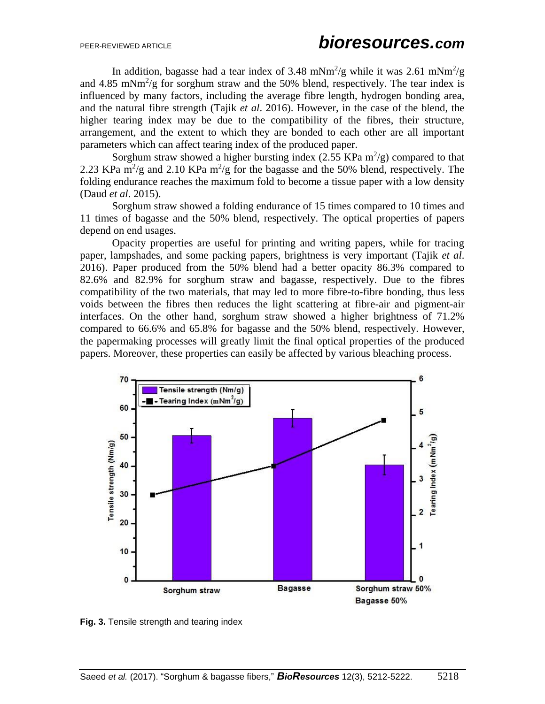In addition, bagasse had a tear index of 3.48 mNm<sup>2</sup>/g while it was 2.61 mNm<sup>2</sup>/g and  $4.85$  mNm<sup>2</sup>/g for sorghum straw and the 50% blend, respectively. The tear index is influenced by many factors, including the average fibre length, hydrogen bonding area, and the natural fibre strength (Tajik *et al*. 2016). However, in the case of the blend, the higher tearing index may be due to the compatibility of the fibres, their structure, arrangement, and the extent to which they are bonded to each other are all important parameters which can affect tearing index of the produced paper.

Sorghum straw showed a higher bursting index  $(2.55 \text{ KPa m}^2/\text{g})$  compared to that 2.23 KPa  $\text{m}^2/\text{g}$  and 2.10 KPa  $\text{m}^2/\text{g}$  for the bagasse and the 50% blend, respectively. The folding endurance reaches the maximum fold to become a tissue paper with a low density (Daud *et al*. 2015).

Sorghum straw showed a folding endurance of 15 times compared to 10 times and 11 times of bagasse and the 50% blend, respectively. The optical properties of papers depend on end usages.

Opacity properties are useful for printing and writing papers, while for tracing paper, lampshades, and some packing papers, brightness is very important (Tajik *et al*. 2016). Paper produced from the 50% blend had a better opacity 86.3% compared to 82.6% and 82.9% for sorghum straw and bagasse, respectively. Due to the fibres compatibility of the two materials, that may led to more fibre-to-fibre bonding, thus less voids between the fibres then reduces the light scattering at fibre-air and pigment-air interfaces. On the other hand, sorghum straw showed a higher brightness of 71.2% compared to 66.6% and 65.8% for bagasse and the 50% blend, respectively. However, the papermaking processes will greatly limit the final optical properties of the produced papers. Moreover, these properties can easily be affected by various bleaching process.



**Fig. 3.** Tensile strength and tearing index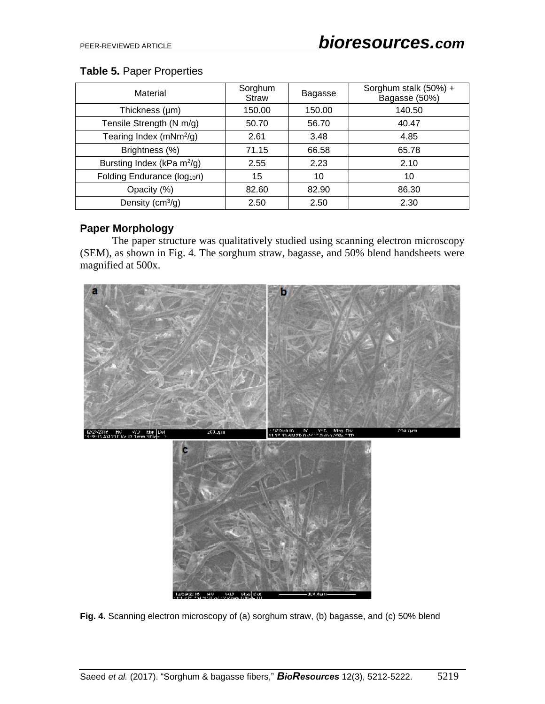## **Table 5.** Paper Properties

| Material                               | Sorghum<br>Straw | <b>Bagasse</b> | Sorghum stalk (50%) +<br>Bagasse (50%) |
|----------------------------------------|------------------|----------------|----------------------------------------|
| Thickness (µm)                         | 150.00           | 150.00         | 140.50                                 |
| Tensile Strength (N m/g)               | 50.70            | 56.70          | 40.47                                  |
| Tearing Index (mNm $^{2}/g$ )          | 2.61             | 3.48           | 4.85                                   |
| Brightness (%)                         | 71.15            | 66.58          | 65.78                                  |
| Bursting Index (kPa m <sup>2</sup> /g) | 2.55             | 2.23           | 2.10                                   |
| Folding Endurance ( $log_{10}n$ )      | 15               | 10             | 10                                     |
| Opacity (%)                            | 82.60            | 82.90          | 86.30                                  |
| Density $(cm^3/g)$                     | 2.50             | 2.50           | 2.30                                   |

## **Paper Morphology**

The paper structure was qualitatively studied using scanning electron microscopy (SEM), as shown in Fig. 4. The sorghum straw, bagasse, and 50% blend handsheets were magnified at 500x.



**Fig. 4.** Scanning electron microscopy of (a) sorghum straw, (b) bagasse, and (c) 50% blend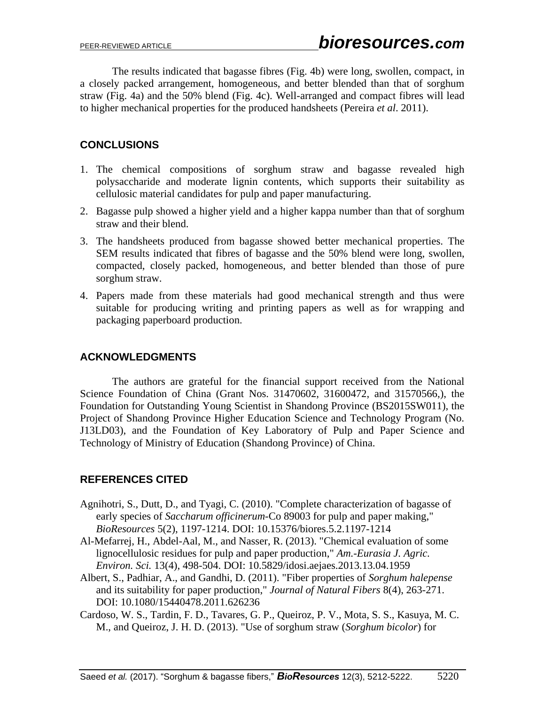The results indicated that bagasse fibres (Fig. 4b) were long, swollen, compact, in a closely packed arrangement, homogeneous, and better blended than that of sorghum straw (Fig. 4a) and the 50% blend (Fig. 4c). Well-arranged and compact fibres will lead to higher mechanical properties for the produced handsheets (Pereira *et al*. 2011).

## **CONCLUSIONS**

- 1. The chemical compositions of sorghum straw and bagasse revealed high polysaccharide and moderate lignin contents, which supports their suitability as cellulosic material candidates for pulp and paper manufacturing.
- 2. Bagasse pulp showed a higher yield and a higher kappa number than that of sorghum straw and their blend.
- 3. The handsheets produced from bagasse showed better mechanical properties. The SEM results indicated that fibres of bagasse and the 50% blend were long, swollen, compacted, closely packed, homogeneous, and better blended than those of pure sorghum straw.
- 4. Papers made from these materials had good mechanical strength and thus were suitable for producing writing and printing papers as well as for wrapping and packaging paperboard production.

## **ACKNOWLEDGMENTS**

The authors are grateful for the financial support received from the National Science Foundation of China (Grant Nos. 31470602, 31600472, and 31570566,), the Foundation for Outstanding Young Scientist in Shandong Province (BS2015SW011), the Project of Shandong Province Higher Education Science and Technology Program (No. J13LD03), and the Foundation of Key Laboratory of Pulp and Paper Science and Technology of Ministry of Education (Shandong Province) of China.

## **REFERENCES CITED**

- Agnihotri, S., Dutt, D., and Tyagi, C. (2010). "Complete characterization of bagasse of early species of *Saccharum officinerum*-Co 89003 for pulp and paper making," *BioResources* 5(2), 1197-1214. DOI: 10.15376/biores.5.2.1197-1214
- Al-Mefarrej, H., Abdel-Aal, M., and Nasser, R. (2013). "Chemical evaluation of some lignocellulosic residues for pulp and paper production," *Am.-Eurasia J. Agric. Environ. Sci.* 13(4), 498-504. DOI: 10.5829/idosi.aejaes.2013.13.04.1959
- Albert, S., Padhiar, A., and Gandhi, D. (2011). "Fiber properties of *Sorghum halepense* and its suitability for paper production," *Journal of Natural Fibers* 8(4), 263-271. DOI: [10.1080/15440478.2011.626236](http://dx.doi.org/10.1080/15440478.2011.626236)
- Cardoso, W. S., Tardin, F. D., Tavares, G. P., Queiroz, P. V., Mota, S. S., Kasuya, M. C. M., and Queiroz, J. H. D. (2013). "Use of sorghum straw (*Sorghum bicolor*) for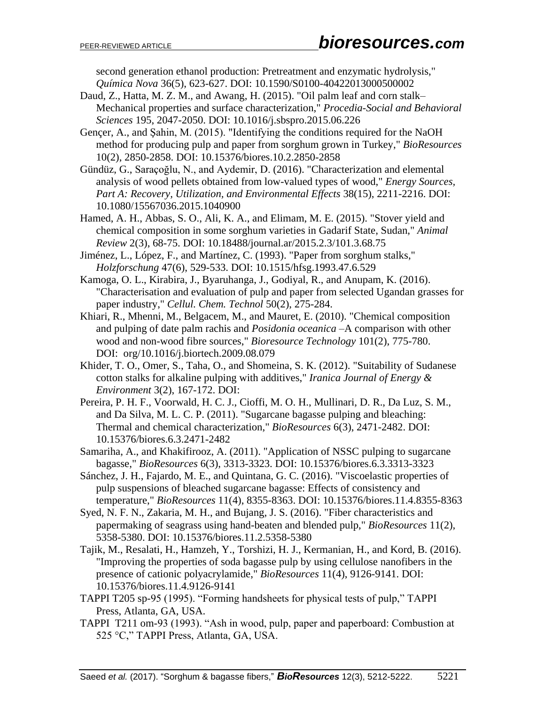second generation ethanol production: Pretreatment and enzymatic hydrolysis," *Química Nova* 36(5), 623-627. DOI: 10.1590/S0100-40422013000500002

- Daud, Z., Hatta, M. Z. M., and Awang, H. (2015). "Oil palm leaf and corn stalk– Mechanical properties and surface characterization," *Procedia-Social and Behavioral Sciences* 195, 2047-2050. DOI: [10.1016/j.sbspro.2015.06.226](http://dx.doi.org/10.1016/j.sbspro.2015.06.226)
- Gençer, A., and Şahin, M. (2015). "Identifying the conditions required for the NaOH method for producing pulp and paper from sorghum grown in Turkey," *BioResources* 10(2), 2850-2858. DOI: 10.15376/biores.10.2.2850-2858
- Gündüz, G., Saraçoğlu, N., and Aydemir, D. (2016). "Characterization and elemental analysis of wood pellets obtained from low-valued types of wood," *Energy Sources, Part A: Recovery, Utilization, and Environmental Effects* 38(15), 2211-2216. DOI: 10.1080/15567036.2015.1040900
- Hamed, A. H., Abbas, S. O., Ali, K. A., and Elimam, M. E. (2015). "Stover yield and chemical composition in some sorghum varieties in Gadarif State, Sudan," *Animal Review* 2(3), 68-75. DOI: 10.18488/journal.ar/2015.2.3/101.3.68.75
- Jiménez, L., López, F., and Martínez, C. (1993). "Paper from sorghum stalks," *Holzforschung* 47(6), 529-533. DOI: [10.1515/hfsg.1993.47.6.529](https://doi.org/10.1515/hfsg.1993.47.6.529)
- Kamoga, O. L., Kirabira, J., Byaruhanga, J., Godiyal, R., and Anupam, K. (2016). "Characterisation and evaluation of pulp and paper from selected Ugandan grasses for paper industry," *Cellul. Chem. Technol* 50(2), 275-284.
- Khiari, R., Mhenni, M., Belgacem, M., and Mauret, E. (2010). "Chemical composition and pulping of date palm rachis and *Posidonia oceanica* –A comparison with other wood and non-wood fibre sources," *Bioresource Technology* 101(2), 775-780. DOI: [org/10.1016/j.biortech.2009.08.079](http://doi.org/10.1016/j.biortech.2009.08.079)
- Khider, T. O., Omer, S., Taha, O., and Shomeina, S. K. (2012). "Suitability of Sudanese cotton stalks for alkaline pulping with additives," *Iranica Journal of Energy & Environment* 3(2), 167-172. DOI:
- Pereira, P. H. F., Voorwald, H. C. J., Cioffi, M. O. H., Mullinari, D. R., Da Luz, S. M., and Da Silva, M. L. C. P. (2011). "Sugarcane bagasse pulping and bleaching: Thermal and chemical characterization," *BioResources* 6(3), 2471-2482. DOI: 10.15376/biores.6.3.2471-2482
- Samariha, A., and Khakifirooz, A. (2011). "Application of NSSC pulping to sugarcane bagasse," *BioResources* 6(3), 3313-3323. DOI: 10.15376/biores.6.3.3313-3323
- Sánchez, J. H., Fajardo, M. E., and Quintana, G. C. (2016). "Viscoelastic properties of pulp suspensions of bleached sugarcane bagasse: Effects of consistency and temperature," *BioResources* 11(4), 8355-8363. DOI: 10.15376/biores.11.4.8355-8363
- Syed, N. F. N., Zakaria, M. H., and Bujang, J. S. (2016). "Fiber characteristics and papermaking of seagrass using hand-beaten and blended pulp," *BioResources* 11(2), 5358-5380. DOI: 10.15376/biores.11.2.5358-5380
- Tajik, M., Resalati, H., Hamzeh, Y., Torshizi, H. J., Kermanian, H., and Kord, B. (2016). "Improving the properties of soda bagasse pulp by using cellulose nanofibers in the presence of cationic polyacrylamide," *BioResources* 11(4), 9126-9141. DOI: 10.15376/biores.11.4.9126-9141
- TAPPI T205 sp-95 (1995). "Forming handsheets for physical tests of pulp," TAPPI Press, Atlanta, GA, USA.
- TAPPI T211 om-93 (1993). "Ash in wood, pulp, paper and paperboard: Combustion at 525 °C," TAPPI Press, Atlanta, GA, USA.